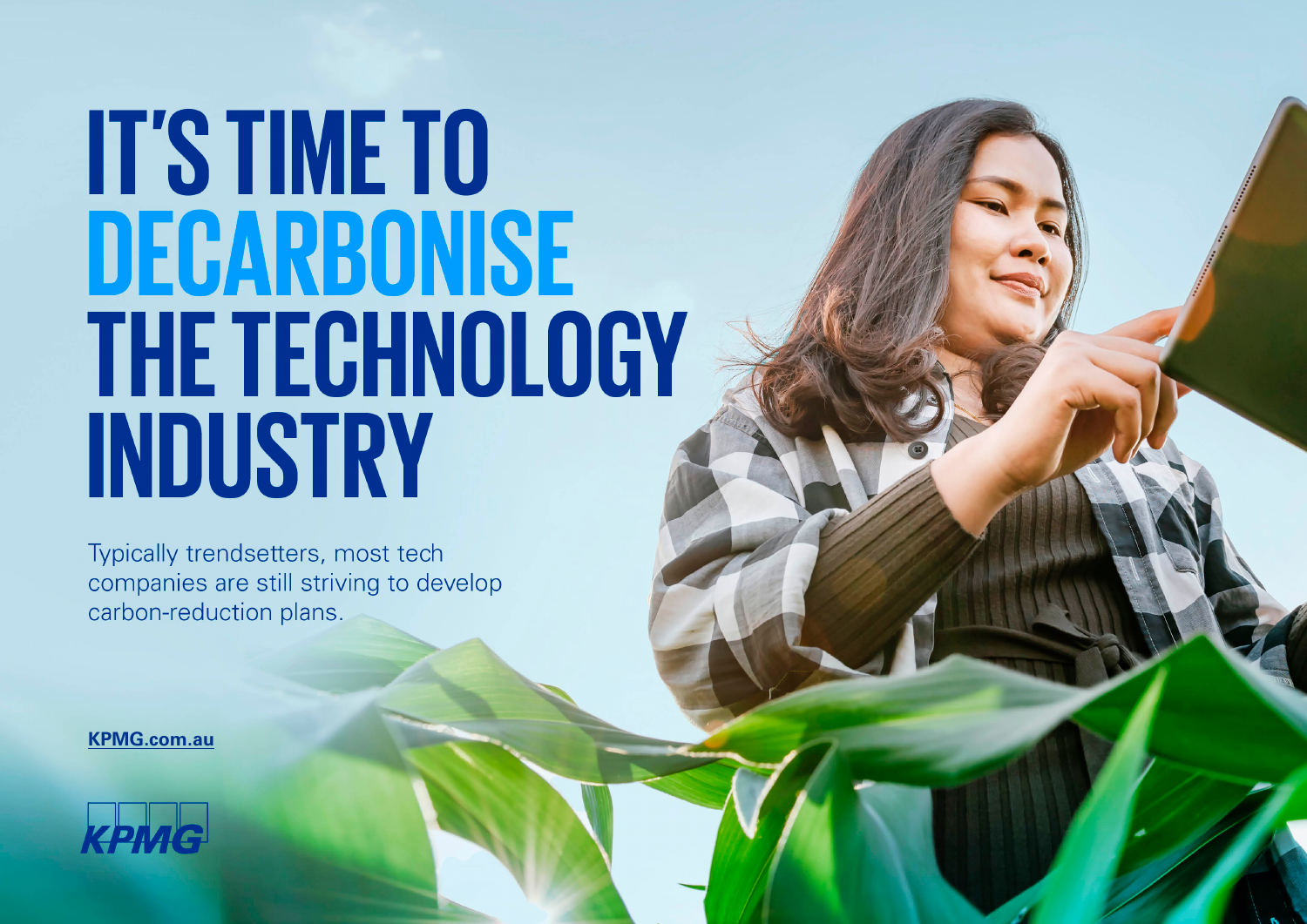# **IT'S TIME TO** DECARBONISE **THE TECHNOLOGY** INDUSTRY

Typically trendsetters, most tech companies are still striving to develop carbon-reduction plans.

**[KPMG.com.au](http://www.kpmg.com.au/)**

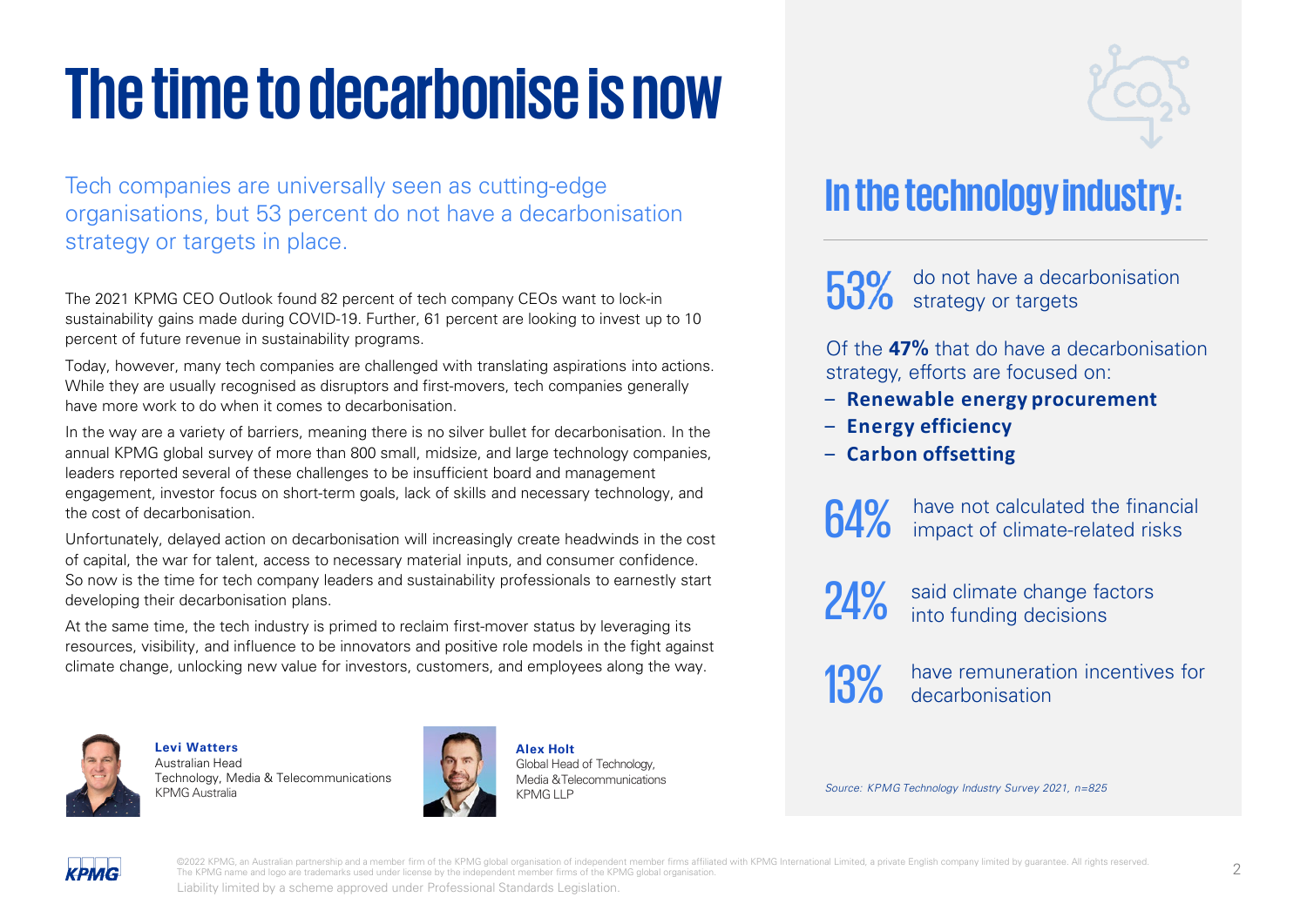## **The time to decarbonise is now**

Tech companies are universally seen as cutting-edge organisations, but 53 percent do not have a decarbonisation strategy or targets in place.

The 2021 KPMG CEO Outlook found 82 percent of tech company CEOs want to lock-in sustainability gains made during COVID-19. Further, 61 percent are looking to invest up to 10 percent of future revenue in sustainability programs.

Today, however, many tech companies are challenged with translating aspirations into actions. While they are usually recognised as disruptors and first-movers, tech companies generally have more work to do when it comes to decarbonisation.

In the way are a variety of barriers, meaning there is no silver bullet for decarbonisation. In the annual KPMG global survey of more than 800 small, midsize, and large technology companies, leaders reported several of these challenges to be insufficient board and management engagement, investor focus on short-term goals, lack of skills and necessary technology, and the cost of decarbonisation.

Unfortunately, delayed action on decarbonisation will increasingly create headwinds in the cost of capital, the war for talent, access to necessary material inputs, and consumer confidence. So now is the time for tech company leaders and sustainability professionals to earnestly start developing their decarbonisation plans.

At the same time, the tech industry is primed to reclaim first-mover status by leveraging its resources, visibility, and influence to be innovators and positive role models in the fight against climate change, unlocking new value for investors, customers, and employees along the way.



**Levi Watters** Australian Head Technology, Media & Telecommunications KPMG Australia



**Alex Holt** Global Head of Technology, Media &Telecommunications KPMG<sub>IP</sub>



## **In the technology industry:**

do not have a decarbonisation strategy or targets

Of the **47%** that do have a decarbonisation strategy, efforts are focused on:

- ‒ **Renewable energy procurement**
- ‒ **Energy efficiency**
- ‒ **Carbon offsetting**

64% have not calculated the financial<br>64% impact of climate-related risks

said climate change factors into funding decisions

have remuneration incentives for decarbonisation

#### Source: KPMG Technology Industry Survey 2021, n=825



©2022 KPMG, an Australian partnership and a member firm of the KPMG global organisation of independent member firms affiliated with KPMG International Limited, a private English company limited by guarantee. All rights res The KPMG name and logo are trademarks used under license by the independent member firms of the KPMG global organisation.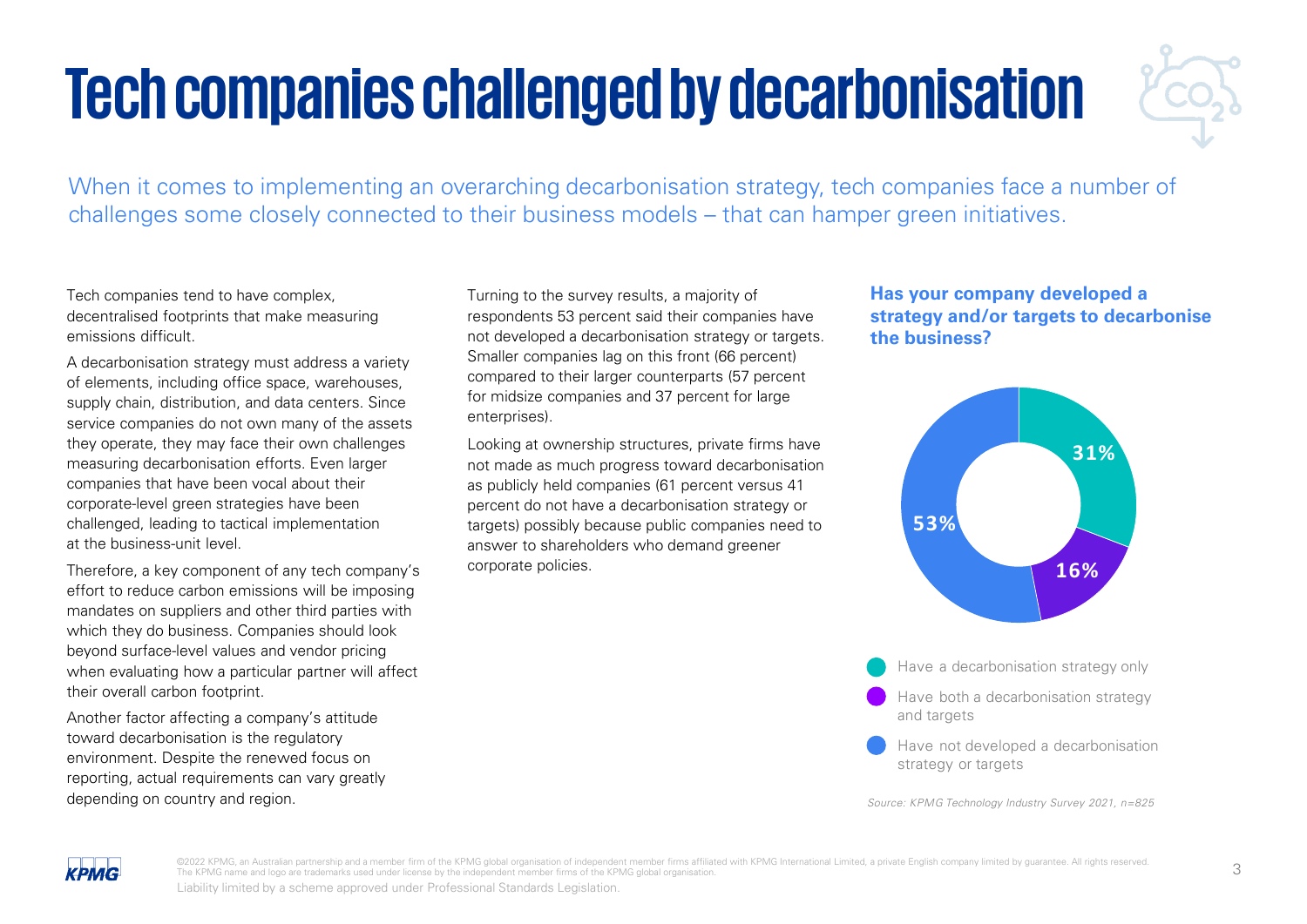## **Tech companies challenged by decarbonisation**



When it comes to implementing an overarching decarbonisation strategy, tech companies face a number of challenges some closely connected to their business models – that can hamper green initiatives.

Tech companies tend to have complex, decentralised footprints that make measuring emissions difficult.

A decarbonisation strategy must address a variety of elements, including office space, warehouses, supply chain, distribution, and data centers. Since service companies do not own many of the assets they operate, they may face their own challenges measuring decarbonisation efforts. Even larger companies that have been vocal about their corporate-level green strategies have been challenged, leading to tactical implementation at the business-unit level.

Therefore, a key component of any tech company's effort to reduce carbon emissions will be imposing mandates on suppliers and other third parties with which they do business. Companies should look beyond surface-level values and vendor pricing when evaluating how a particular partner will affect their overall carbon footprint.

Another factor affecting a company's attitude toward decarbonisation is the regulatory environment. Despite the renewed focus on reporting, actual requirements can vary greatly depending on country and region.

Turning to the survey results, a majority of respondents 53 percent said their companies have not developed a decarbonisation strategy or targets. Smaller companies lag on this front (66 percent) compared to their larger counterparts (57 percent for midsize companies and 37 percent for large enterprises).

Looking at ownership structures, private firms have not made as much progress toward decarbonisation as publicly held companies (61 percent versus 41 percent do not have a decarbonisation strategy or targets) possibly because public companies need to answer to shareholders who demand greener corporate policies.

### **Has your company developed a strategy and/or targets to decarbonise the business?**



Have a decarbonisation strategy only

- Have both a decarbonisation strategy and targets
- Have not developed a decarbonisation strategy or targets

Source: KPMG Technology Industry Survey 2021, n=825 Source: KPMG Technology Industry Survey 2021, n=825



@2022 KPMG, an Australian partnership and a member firm of the KPMG global organisation of independent member firms affiliated with KPMG International Limited, a private English company limited by guarantee. All rights res The KPMG name and logo are trademarks used under license by the independent member firms of the KPMG global organisation.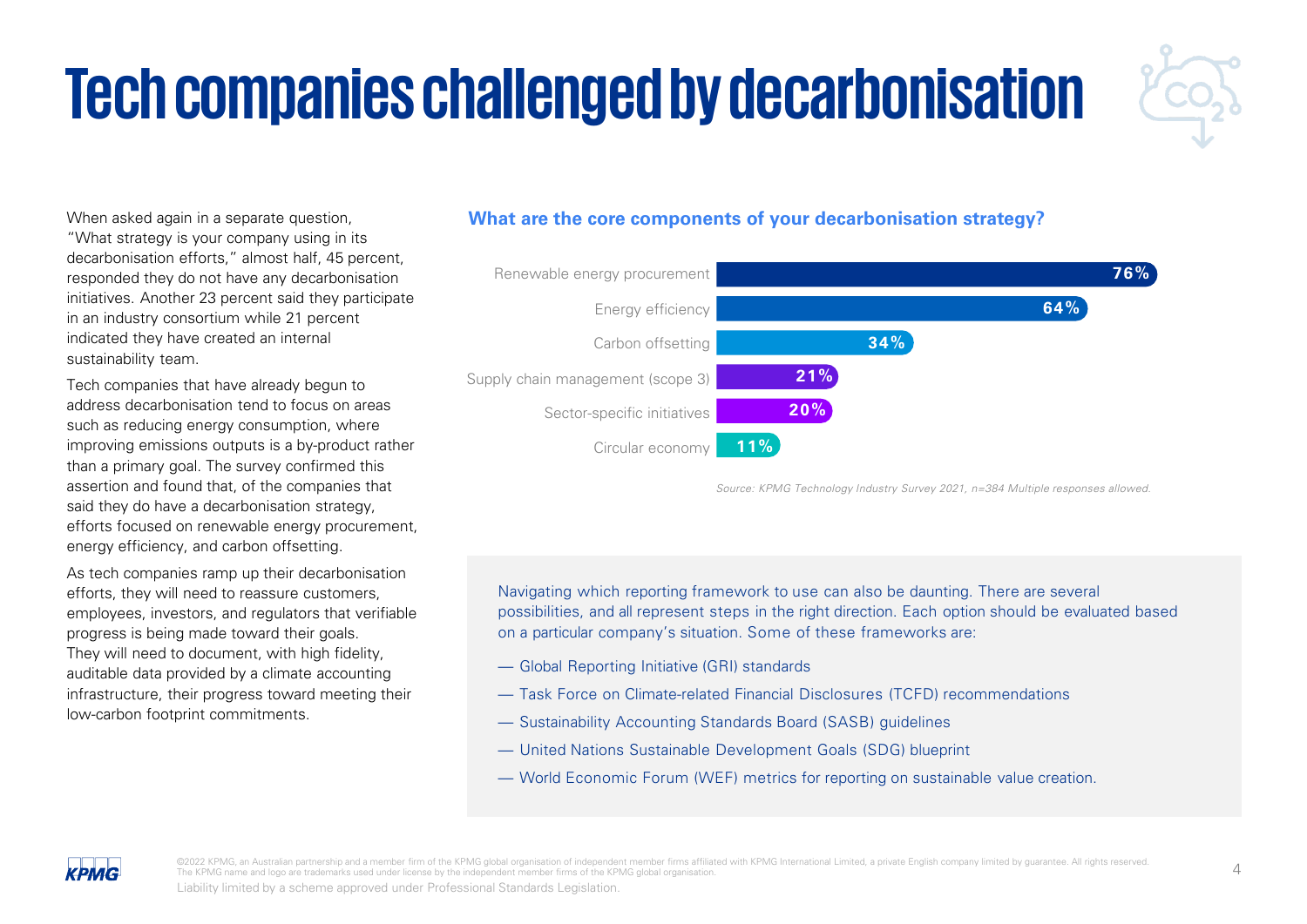## **Tech companies challenged by decarbonisation**



When asked again in a separate question, "What strategy is your company using in its decarbonisation efforts," almost half, 45 percent, responded they do not have any decarbonisation initiatives. Another 23 percent said they participate in an industry consortium while 21 percent indicated they have created an internal sustainability team.

Tech companies that have already begun to address decarbonisation tend to focus on areas such as reducing energy consumption, where improving emissions outputs is a by-product rather than a primary goal. The survey confirmed this assertion and found that, of the companies that said they do have a decarbonisation strategy, efforts focused on renewable energy procurement, energy efficiency, and carbon offsetting.

As tech companies ramp up their decarbonisation efforts, they will need to reassure customers, employees, investors, and regulators that verifiable progress is being made toward their goals. They will need to document, with high fidelity, auditable data provided by a climate accounting infrastructure, their progress toward meeting their low-carbon footprint commitments.

### **What are the core components of your decarbonisation strategy?**



Source: KPMG Technology Industry Survey 2021, n=384 Multiple responses allowed.

Navigating which reporting framework to use can also be daunting. There are several possibilities, and all represent steps in the right direction. Each option should be evaluated based on a particular company's situation. Some of these frameworks are:

- Global Reporting Initiative (GRI) standards
- Task Force on Climate-related Financial Disclosures (TCFD) recommendations
- Sustainability Accounting Standards Board (SASB) guidelines
- United Nations Sustainable Development Goals (SDG) blueprint
- World Economic Forum (WEF) metrics for reporting on sustainable value creation.



The U.S. of N.C. an Australian partnership and a member firm of the KPMG global organisation of independent member firms affiliated with KPMG International Limited, a private English company limited by guarantee. All right The KPMG name and logo are trademarks used under license by the independent member firms of the KPMG global organisation.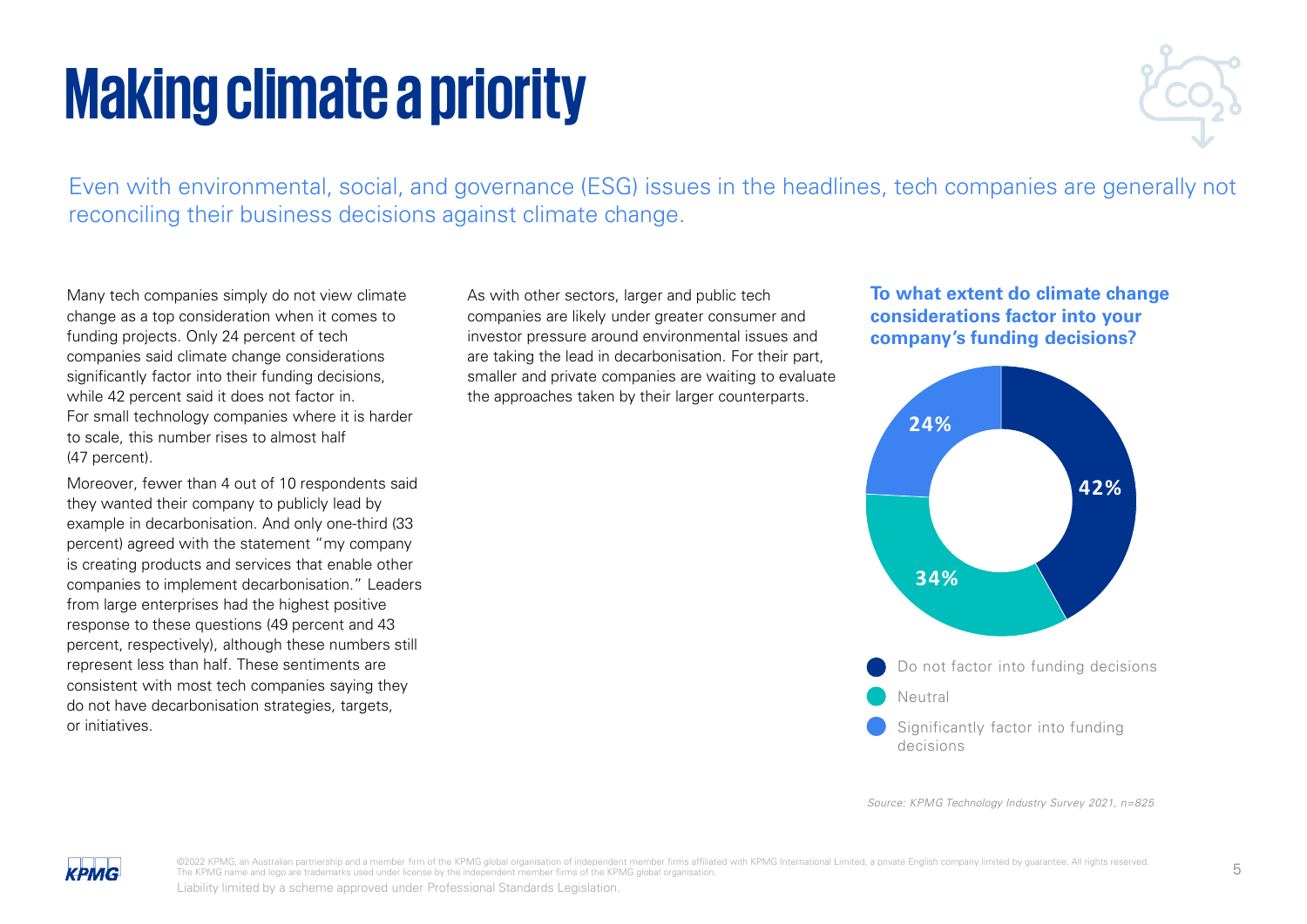## **Making climate a priority**



Even with environmental, social, and governance (ESG) issues in the headlines, tech companies are generally not reconciling their business decisions against climate change.

Many tech companies simply do not view climate change as a top consideration when it comes to funding projects. Only 24 percent of tech companies said climate change considerations significantly factor into their funding decisions, while 42 percent said it does not factor in. For small technology companies where it is harder to scale, this number rises to almost half (47 percent).

Moreover, fewer than 4 out of 10 respondents said they wanted their company to publicly lead by example in decarbonisation. And only one-third (33 percent) agreed with the statement "my company is creating products and services that enable other companies to implement decarbonisation." Leaders from large enterprises had the highest positive response to these questions (49 percent and 43 percent, respectively), although these numbers still represent less than half. These sentiments are consistent with most tech companies saying they do not have decarbonisation strategies, targets, or initiatives.

As with other sectors, larger and public tech companies are likely under greater consumer and investor pressure around environmental issues and are taking the lead in decarbonisation. For their part, smaller and private companies are waiting to evaluate the approaches taken by their larger counterparts.

### **To what extent do climate change considerations factor into your company's funding decisions?**



Source: KPMG Technology Industry Survey 2021, n=825 Source: KPMG Technology Industry Survey 2021, n=825



©2022 KPMG, an Australian partnership and a member firm of the KPMG global organisation of independent member firms affiliated with KPMG International Limited, a private English company limited by guarantee. All rights res The KPMG name and logo are trademarks used under license by the independent member firms of the KPMG global organisation.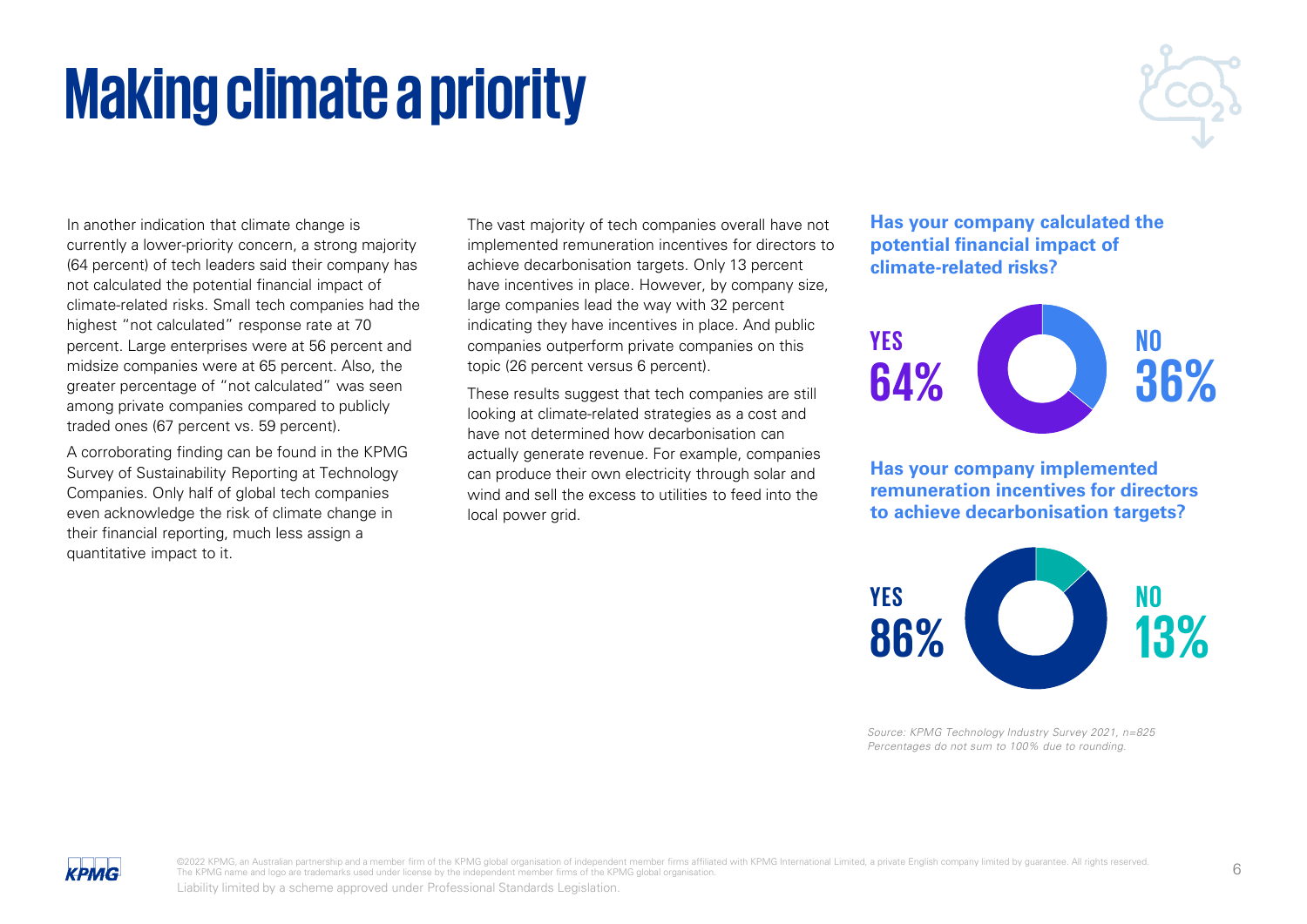#### ©2022 KPMG, an Australian partnership and a member firm of the KPMG global organisation of independent member firms affiliated with KPMG International Limited, a private English company limited by guarantee. All rights res The KPMG name and logo are trademarks used under license by the independent member firms of the KPMG global organisation.

## **Making climate a priority**

In another indication that climate change is currently a lower-priority concern, a strong majority (64 percent) of tech leaders said their company has not calculated the potential financial impact of climate-related risks. Small tech companies had the highest "not calculated" response rate at 70 percent. Large enterprises were at 56 percent and midsize companies were at 65 percent. Also, the greater percentage of "not calculated" was seen among private companies compared to publicly traded ones (67 percent vs. 59 percent).

A corroborating finding can be found in the KPMG Survey of Sustainability Reporting at Technology Companies. Only half of global tech companies even acknowledge the risk of climate change in their financial reporting, much less assign a quantitative impact to it.

**KPMG** 

The vast majority of tech companies overall have not implemented remuneration incentives for directors to achieve decarbonisation targets. Only 13 percent have incentives in place. However, by company size, large companies lead the way with 32 percent indicating they have incentives in place. And public companies outperform private companies on this topic (26 percent versus 6 percent).

These results suggest that tech companies are still looking at climate-related strategies as a cost and have not determined how decarbonisation can actually generate revenue. For example, companies can produce their own electricity through solar and wind and sell the excess to utilities to feed into the local power grid.

**Has your company calculated the potential financial impact of climate-related risks?**



**Has your company implemented remuneration incentives for directors to achieve decarbonisation targets?**

**NO**

**13%**



**YES**

**86%**

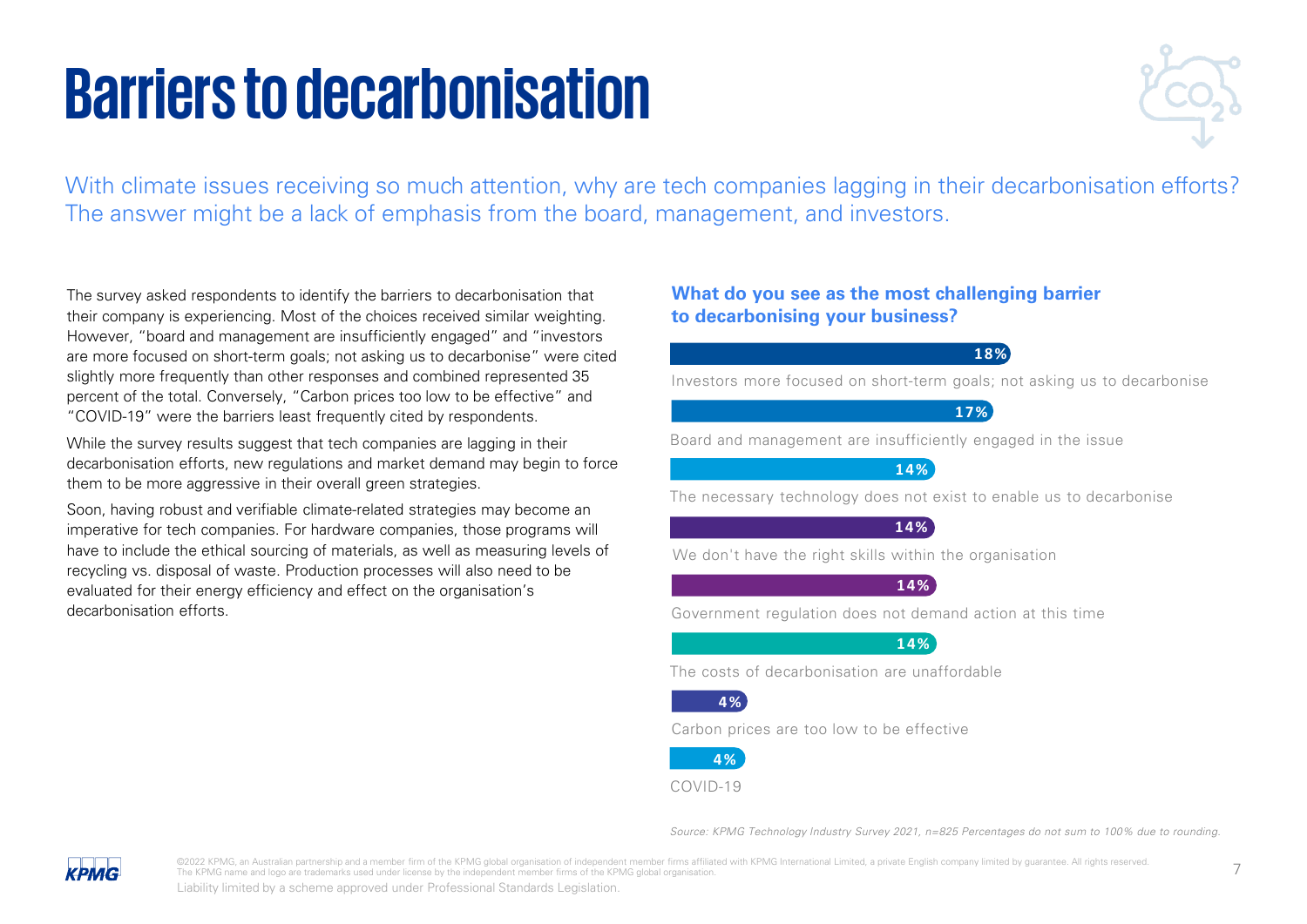## **Barriers to decarbonisation**



With climate issues receiving so much attention, why are tech companies lagging in their decarbonisation efforts? The answer might be a lack of emphasis from the board, management, and investors.

The survey asked respondents to identify the barriers to decarbonisation that their company is experiencing. Most of the choices received similar weighting. However, "board and management are insufficiently engaged" and "investors are more focused on short-term goals; not asking us to decarbonise" were cited slightly more frequently than other responses and combined represented 35 percent of the total. Conversely, "Carbon prices too low to be effective" and "COVID-19" were the barriers least frequently cited by respondents.

While the survey results suggest that tech companies are lagging in their decarbonisation efforts, new regulations and market demand may begin to force them to be more aggressive in their overall green strategies.

Soon, having robust and verifiable climate-related strategies may become an imperative for tech companies. For hardware companies, those programs will have to include the ethical sourcing of materials, as well as measuring levels of recycling vs. disposal of waste. Production processes will also need to be evaluated for their energy efficiency and effect on the organisation's decarbonisation efforts.

### **What do you see as the most challenging barrier to decarbonising your business?**

**18%**

Investors more focused on short-term goals; not asking us to decarbonise

### **17%**

Board and management are insufficiently engaged in the issue

**14%**

The necessary technology does not exist to enable us to decarbonise

**14%**

We don't have the right skills within the organisation

**14%**

Government regulation does not demand action at this time

**14%**

The costs of decarbonisation are unaffordable

### **4 %**

Carbon prices are too low to be effective



COVID-19

Source: KPMG Technology Industry Survey 2021, n=825 Percentages do not sum to 100% due to rounding.



@2022 KPMG, an Australian partnership and a member firm of the KPMG global organisation of independent member firms affiliated with KPMG International Limited, a private English company limited by guarantee. All rights res The KPMG name and logo are trademarks used under license by the independent member firms of the KPMG global organisation.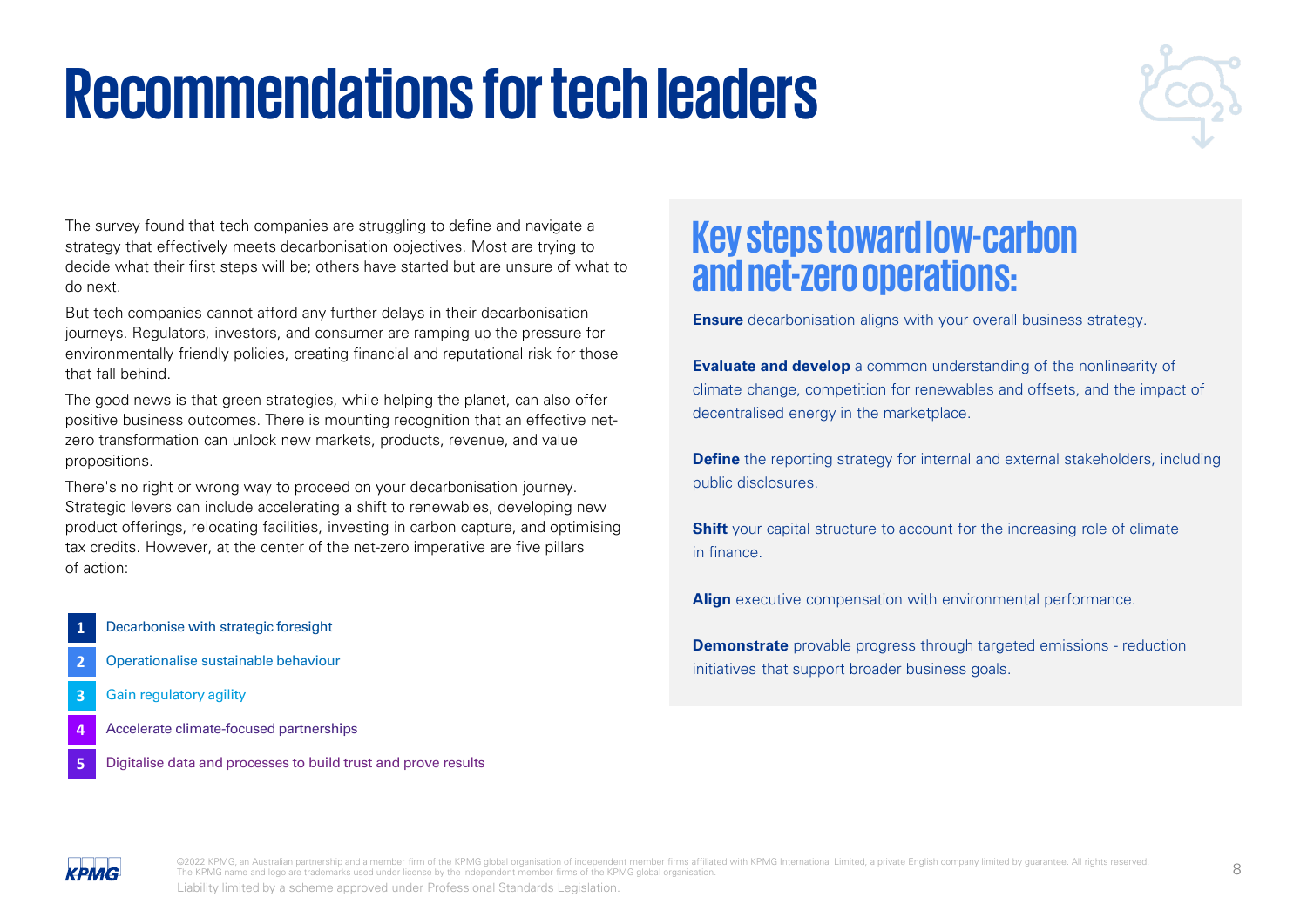## **Recommendations for tech leaders**



The survey found that tech companies are struggling to define and navigate a strategy that effectively meets decarbonisation objectives. Most are trying to decide what their first steps will be; others have started but are unsure of what to do next.

But tech companies cannot afford any further delays in their decarbonisation journeys. Regulators, investors, and consumer are ramping up the pressure for environmentally friendly policies, creating financial and reputational risk for those that fall behind.

The good news is that green strategies, while helping the planet, can also offer positive business outcomes. There is mounting recognition that an effective netzero transformation can unlock new markets, products, revenue, and value propositions.

There's no right or wrong way to proceed on your decarbonisation journey. Strategic levers can include accelerating a shift to renewables, developing new product offerings, relocating facilities, investing in carbon capture, and optimising tax credits. However, at the center of the net-zero imperative are five pillars of action:

- **1** Decarbonise with strategic foresight
- **2** Operationalise sustainable behaviour
- **3** Gain regulatory agility
- **4** Accelerate climate-focused partnerships
- **5** Digitalise data and processes to build trust and prove results

## **Key steps toward low-carbon and net-zero operations:**

**Ensure** decarbonisation aligns with your overall business strategy.

**Evaluate and develop** a common understanding of the nonlinearity of climate change, competition for renewables and offsets, and the impact of decentralised energy in the marketplace.

**Define** the reporting strategy for internal and external stakeholders, including public disclosures.

**Shift** your capital structure to account for the increasing role of climate in finance.

**Align** executive compensation with environmental performance.

**Demonstrate** provable progress through targeted emissions - reduction initiatives that support broader business goals.



©2022 KPMG, an Australian partnership and a member firm of the KPMG global organisation of independent member firms affiliated with KPMG International Limited, a private English company limited by guarantee. All rights res The KPMG name and logo are trademarks used under license by the independent member firms of the KPMG global organisation.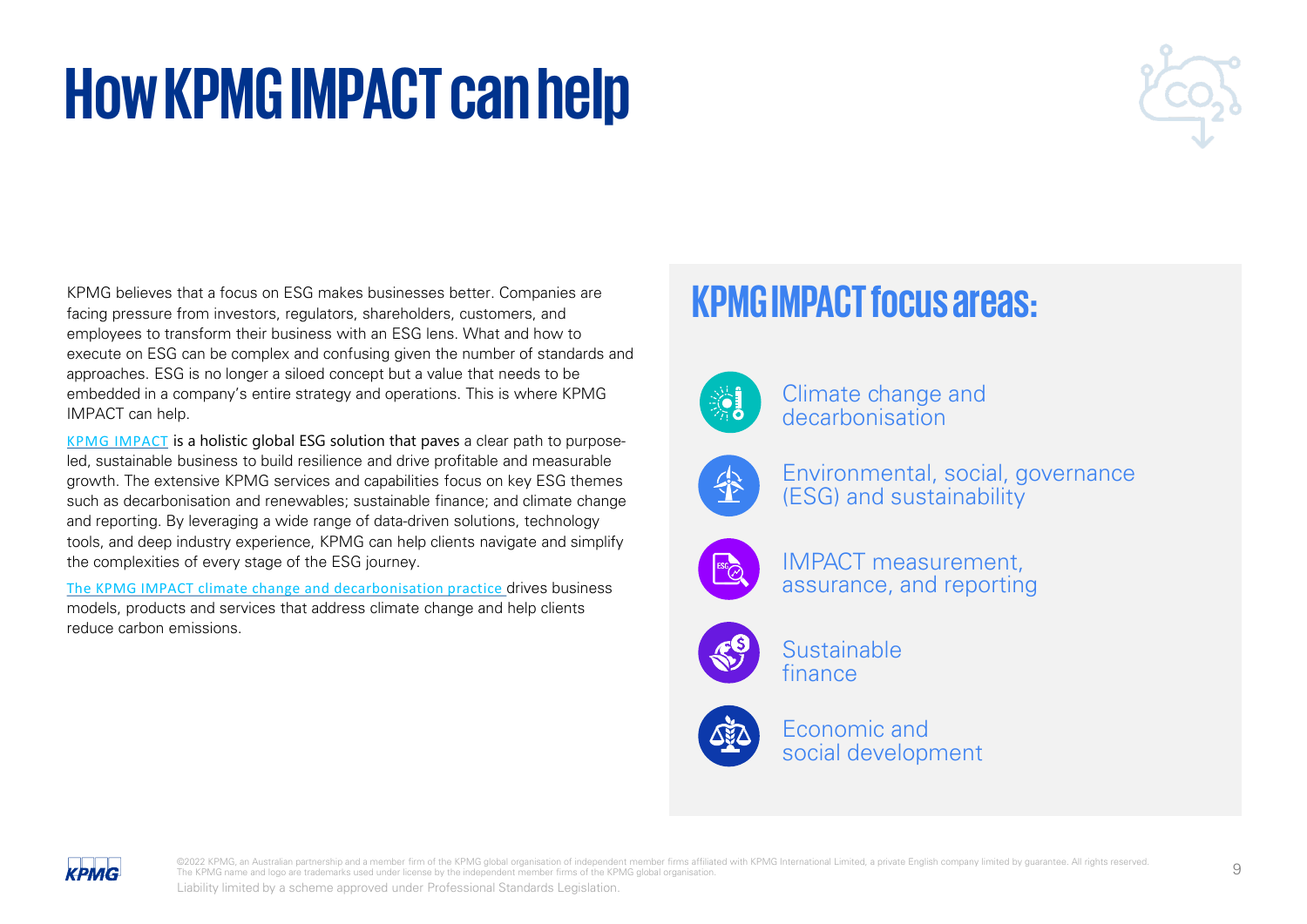## **How KPMG IMPACT can help**



KPMG believes that a focus on ESG makes businesses better. Companies are facing pressure from investors, regulators, shareholders, customers, and employees to transform their business with an ESG lens. What and how to execute on ESG can be complex and confusing given the number of standards and approaches. ESG is no longer a siloed concept but a value that needs to be embedded in a company's entire strategy and operations. This is where KPMG IMPACT can help.

[KPMG IMPACT](https://home.kpmg/xx/en/home/insights/2020/06/kpmg-impact.html) is a holistic global ESG solution that paves a clear path to purposeled, sustainable business to build resilience and drive profitable and measurable growth. The extensive KPMG services and capabilities focus on key ESG themes such as decarbonisation and renewables; sustainable finance; and climate change and reporting. By leveraging a wide range of data-driven solutions, technology tools, and deep industry experience, KPMG can help clients navigate and simplify the complexities of every stage of the ESG journey.

[The KPMG IMPACT climate change and decarbonisation practice](https://home.kpmg/xx/en/home/insights/2020/06/climate-change-and-decarbonization.html) drives business models, products and services that address climate change and help clients reduce carbon emissions.

## **KPMG IMPACT focus areas:**



Climate change and decarbonisation



Environmental, social, governance (ESG) and sustainability



IMPACT measurement, assurance, and reporting



**Sustainable** finance



Economic and social development



The U.S. of District and Australian partnership and a member firm of the KPMG global organisation of independent member firms affiliated with KPMG International Limited, a private English company limited by guarantee. All The KPMG name and logo are trademarks used under license by the independent member firms of the KPMG global organisation.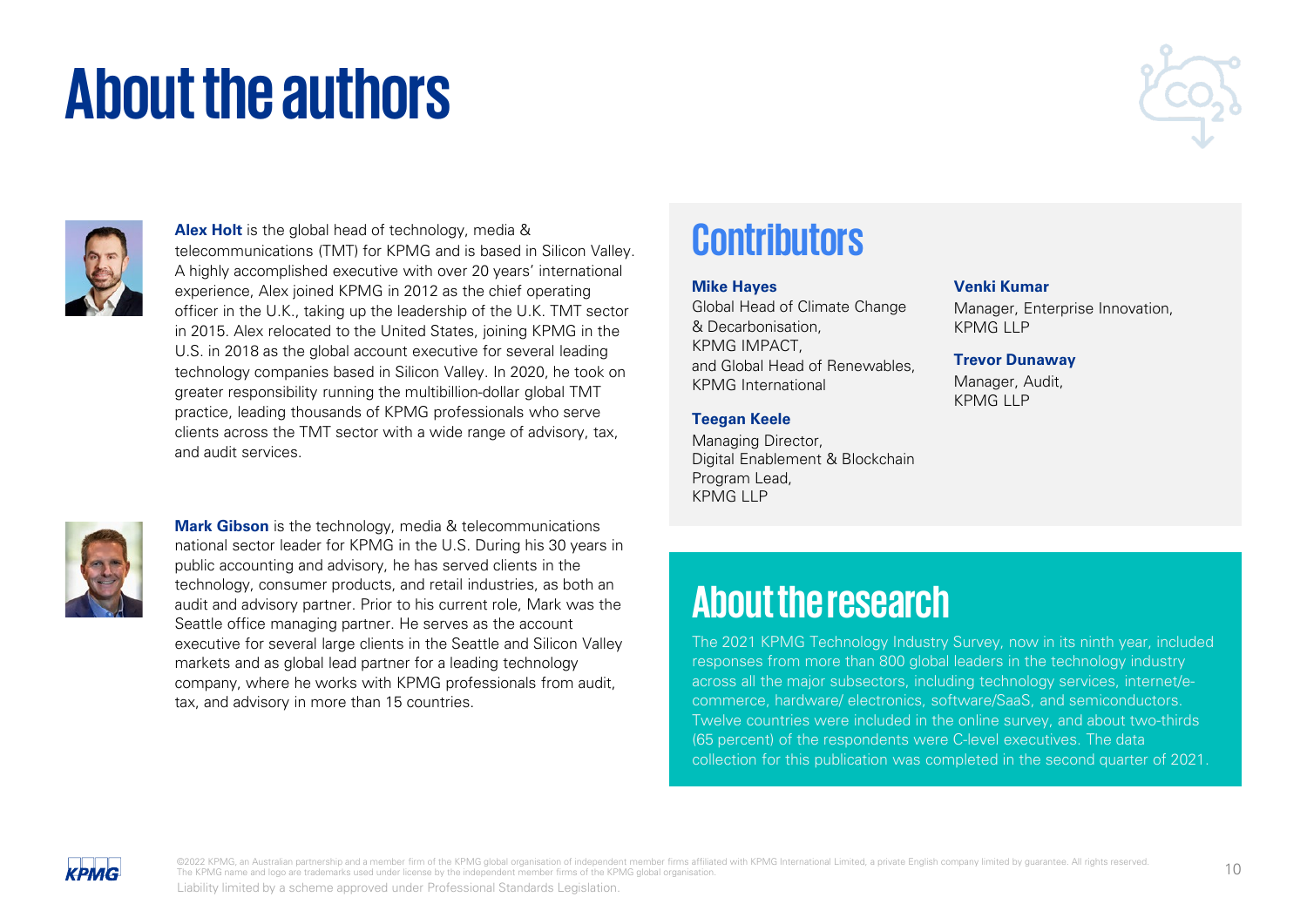## **About the authors**





**Alex Holt** is the global head of technology, media & telecommunications (TMT) for KPMG and is based in Silicon Valley. A highly accomplished executive with over 20 years' international experience, Alex joined KPMG in 2012 as the chief operating officer in the U.K., taking up the leadership of the U.K. TMT sector in 2015. Alex relocated to the United States, joining KPMG in the U.S. in 2018 as the global account executive for several leading technology companies based in Silicon Valley. In 2020, he took on greater responsibility running the multibillion-dollar global TMT practice, leading thousands of KPMG professionals who serve clients across the TMT sector with a wide range of advisory, tax, and audit services.



**Mark Gibson** is the technology, media & telecommunications national sector leader for KPMG in the U.S. During his 30 years in public accounting and advisory, he has served clients in the technology, consumer products, and retail industries, as both an audit and advisory partner. Prior to his current role, Mark was the Seattle office managing partner. He serves as the account executive for several large clients in the Seattle and Silicon Valley markets and as global lead partner for a leading technology company, where he works with KPMG professionals from audit, tax, and advisory in more than 15 countries.

## **Contributors**

### **Mike Hayes**

Global Head of Climate Change & Decarbonisation, KPMG IMPACT, and Global Head of Renewables, KPMG International

### **Teegan Keele**

Managing Director, Digital Enablement & Blockchain Program Lead, KPMG LLP

### **Venki Kumar**

Manager, Enterprise Innovation, KPMG LLP

#### **Trevor Dunaway**

Manager, Audit, KPMG LLP

## **About the research**

The 2021 KPMG Technology Industry Survey, now in its ninth year, included responses from more than 800 global leaders in the technology industry across all the major subsectors, including technology services, internet/ecommerce, hardware/ electronics, software/SaaS, and semiconductors. Twelve countries were included in the online survey, and about two-thirds (65 percent) of the respondents were C-level executives. The data collection for this publication was completed in the second quarter of 2021.

**KPMG**